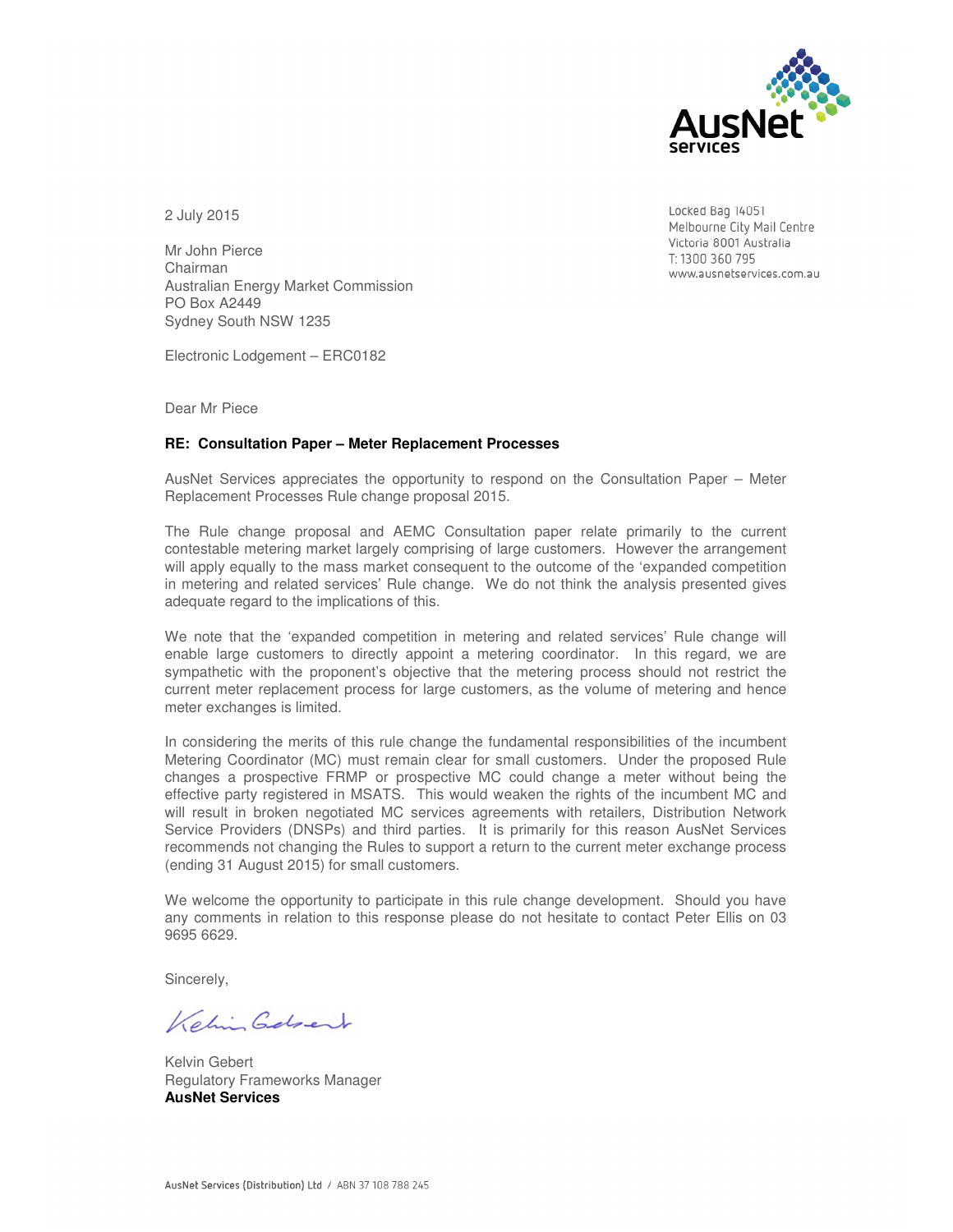

2 July 2015

Mr John Pierce Chairman Australian Energy Market Commission PO Box A2449 Sydney South NSW 1235

Electronic Lodgement – ERC0182

Dear Mr Piece

#### **RE: Consultation Paper – Meter Replacement Processes**

AusNet Services appreciates the opportunity to respond on the Consultation Paper – Meter Replacement Processes Rule change proposal 2015.

The Rule change proposal and AEMC Consultation paper relate primarily to the current contestable metering market largely comprising of large customers. However the arrangement will apply equally to the mass market consequent to the outcome of the 'expanded competition in metering and related services' Rule change. We do not think the analysis presented gives adequate regard to the implications of this.

We note that the 'expanded competition in metering and related services' Rule change will enable large customers to directly appoint a metering coordinator. In this regard, we are sympathetic with the proponent's objective that the metering process should not restrict the current meter replacement process for large customers, as the volume of metering and hence meter exchanges is limited.

In considering the merits of this rule change the fundamental responsibilities of the incumbent Metering Coordinator (MC) must remain clear for small customers. Under the proposed Rule changes a prospective FRMP or prospective MC could change a meter without being the effective party registered in MSATS. This would weaken the rights of the incumbent MC and will result in broken negotiated MC services agreements with retailers, Distribution Network Service Providers (DNSPs) and third parties. It is primarily for this reason AusNet Services recommends not changing the Rules to support a return to the current meter exchange process (ending 31 August 2015) for small customers.

We welcome the opportunity to participate in this rule change development. Should you have any comments in relation to this response please do not hesitate to contact Peter Ellis on 03 9695 6629.

Sincerely,

Keling Gelgert

Kelvin Gebert Regulatory Frameworks Manager **AusNet Services** 

Locked Bag 14051 Melbourne City Mail Centre Victoria 8001 Australia T: 1300 360 795 www.ausnetservices.com.au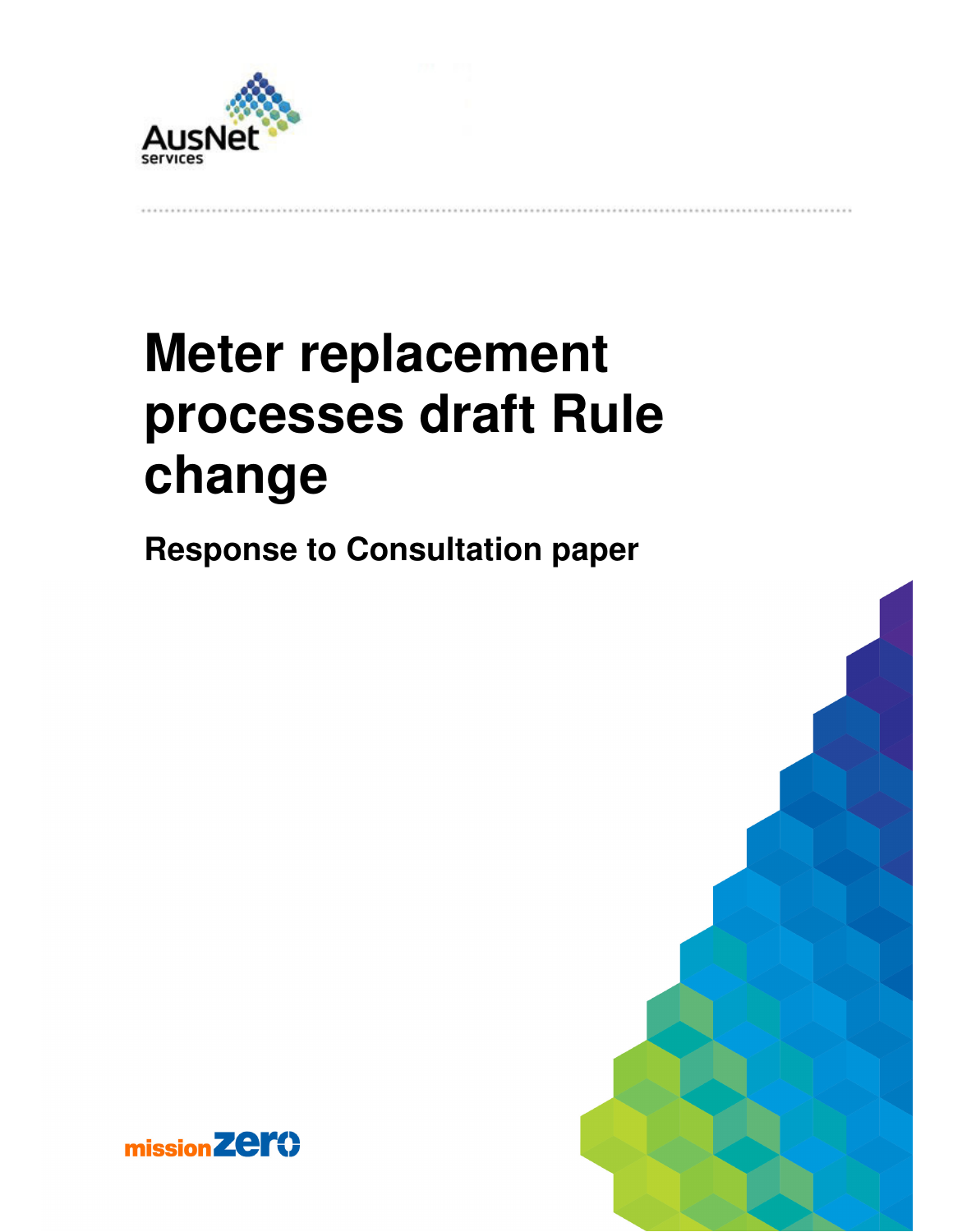

# **Meter replacement processes draft Rule change**

**Response to Consultation paper** 



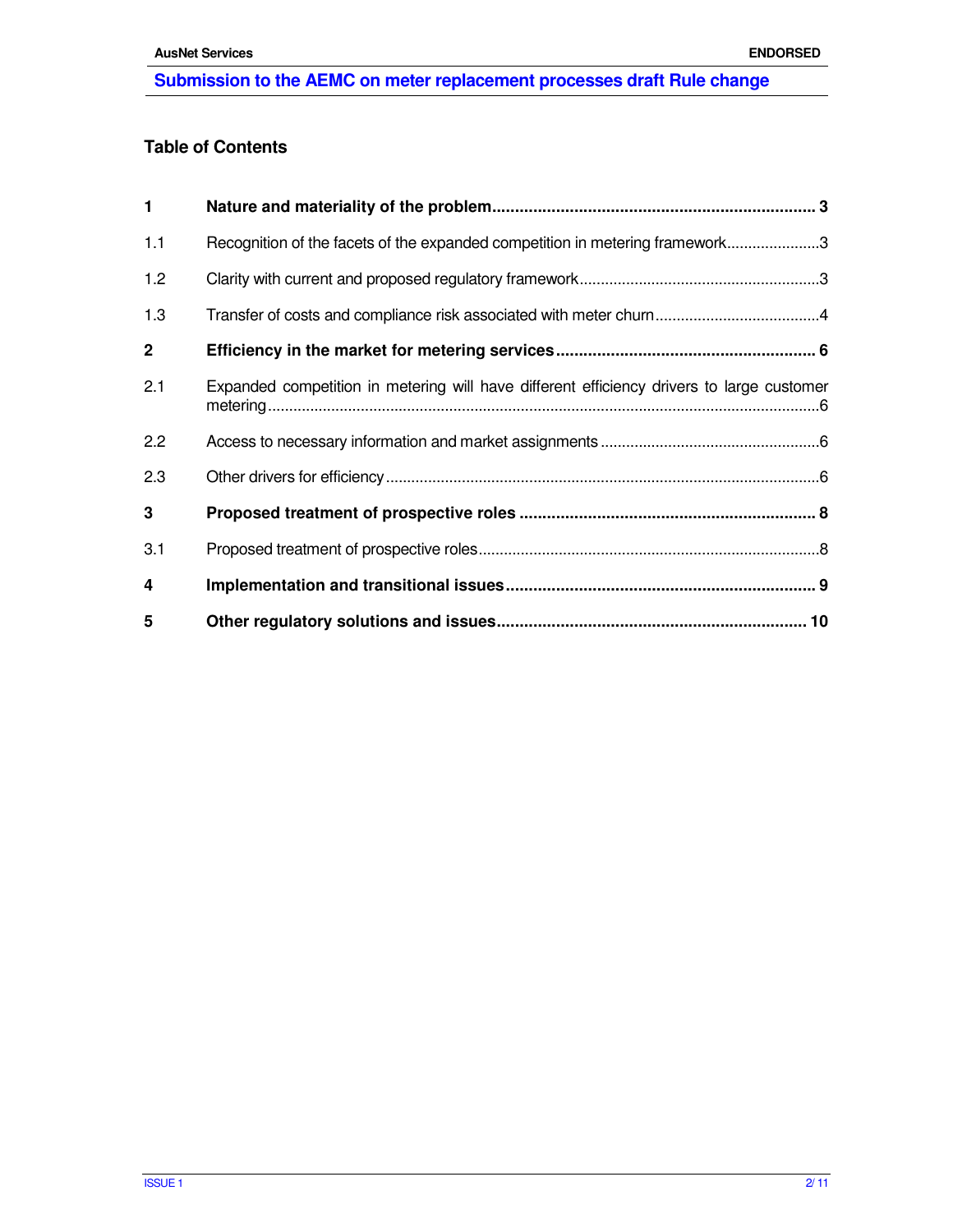## **Table of Contents**

| $\mathbf{1}$ |                                                                                           |
|--------------|-------------------------------------------------------------------------------------------|
| 1.1          | Recognition of the facets of the expanded competition in metering framework3              |
| 1.2          |                                                                                           |
| 1.3          |                                                                                           |
| $\mathbf{2}$ |                                                                                           |
| 2.1          | Expanded competition in metering will have different efficiency drivers to large customer |
| 2.2          |                                                                                           |
| 2.3          |                                                                                           |
| 3            |                                                                                           |
| 3.1          |                                                                                           |
| 4            |                                                                                           |
| 5            |                                                                                           |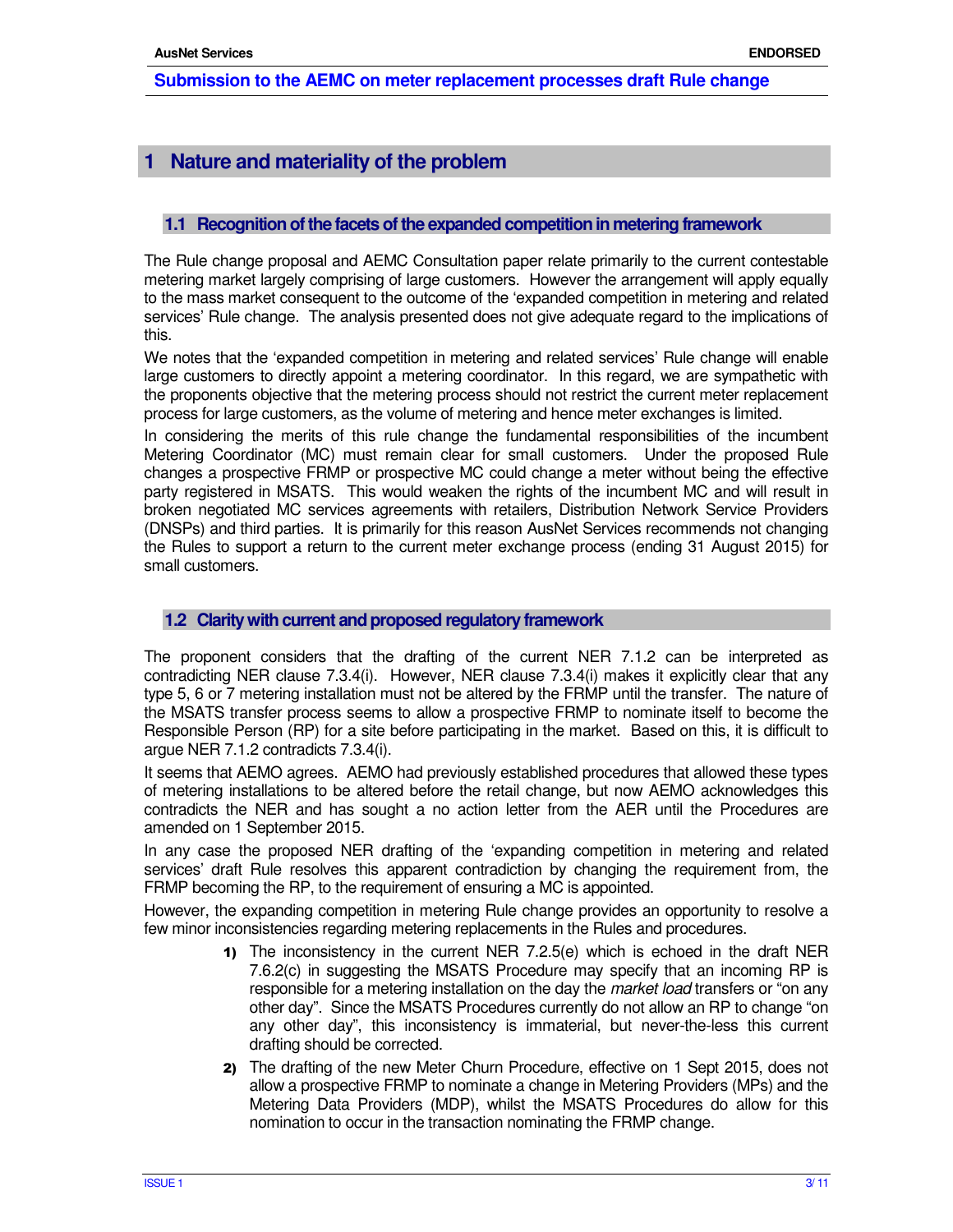## **1 Nature and materiality of the problem**

## **1.1 Recognition of the facets of the expanded competition in metering framework**

The Rule change proposal and AEMC Consultation paper relate primarily to the current contestable metering market largely comprising of large customers. However the arrangement will apply equally to the mass market consequent to the outcome of the 'expanded competition in metering and related services' Rule change. The analysis presented does not give adequate regard to the implications of this.

We notes that the 'expanded competition in metering and related services' Rule change will enable large customers to directly appoint a metering coordinator. In this regard, we are sympathetic with the proponents objective that the metering process should not restrict the current meter replacement process for large customers, as the volume of metering and hence meter exchanges is limited.

In considering the merits of this rule change the fundamental responsibilities of the incumbent Metering Coordinator (MC) must remain clear for small customers. Under the proposed Rule changes a prospective FRMP or prospective MC could change a meter without being the effective party registered in MSATS. This would weaken the rights of the incumbent MC and will result in broken negotiated MC services agreements with retailers, Distribution Network Service Providers (DNSPs) and third parties. It is primarily for this reason AusNet Services recommends not changing the Rules to support a return to the current meter exchange process (ending 31 August 2015) for small customers.

#### **1.2 Clarity with current and proposed regulatory framework**

The proponent considers that the drafting of the current NER 7.1.2 can be interpreted as contradicting NER clause 7.3.4(i). However, NER clause 7.3.4(i) makes it explicitly clear that any type 5, 6 or 7 metering installation must not be altered by the FRMP until the transfer. The nature of the MSATS transfer process seems to allow a prospective FRMP to nominate itself to become the Responsible Person (RP) for a site before participating in the market. Based on this, it is difficult to argue NER 7.1.2 contradicts 7.3.4(i).

It seems that AEMO agrees. AEMO had previously established procedures that allowed these types of metering installations to be altered before the retail change, but now AEMO acknowledges this contradicts the NER and has sought a no action letter from the AER until the Procedures are amended on 1 September 2015.

In any case the proposed NER drafting of the 'expanding competition in metering and related services' draft Rule resolves this apparent contradiction by changing the requirement from, the FRMP becoming the RP, to the requirement of ensuring a MC is appointed.

However, the expanding competition in metering Rule change provides an opportunity to resolve a few minor inconsistencies regarding metering replacements in the Rules and procedures.

- 1) The inconsistency in the current NER 7.2.5(e) which is echoed in the draft NER 7.6.2(c) in suggesting the MSATS Procedure may specify that an incoming RP is responsible for a metering installation on the day the *market load* transfers or "on any other day". Since the MSATS Procedures currently do not allow an RP to change "on any other day", this inconsistency is immaterial, but never-the-less this current drafting should be corrected.
- 2) The drafting of the new Meter Churn Procedure, effective on 1 Sept 2015, does not allow a prospective FRMP to nominate a change in Metering Providers (MPs) and the Metering Data Providers (MDP), whilst the MSATS Procedures do allow for this nomination to occur in the transaction nominating the FRMP change.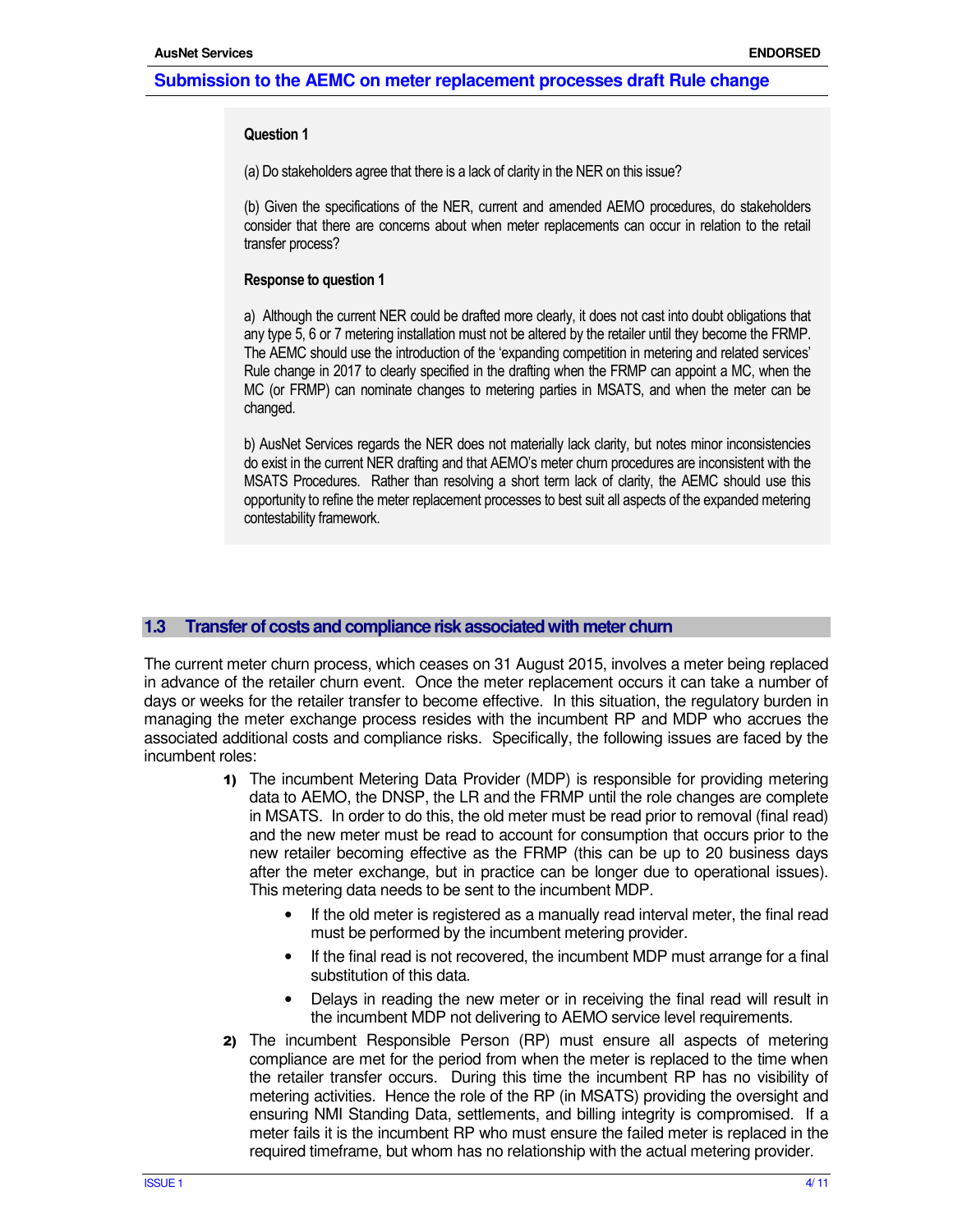#### **Question 1**

(a) Do stakeholders agree that there is a lack of clarity in the NER on this issue?

(b) Given the specifications of the NER, current and amended AEMO procedures, do stakeholders consider that there are concerns about when meter replacements can occur in relation to the retail transfer process?

#### **Response to question 1**

a) Although the current NER could be drafted more clearly, it does not cast into doubt obligations that any type 5, 6 or 7 metering installation must not be altered by the retailer until they become the FRMP. The AEMC should use the introduction of the 'expanding competition in metering and related services' Rule change in 2017 to clearly specified in the drafting when the FRMP can appoint a MC, when the MC (or FRMP) can nominate changes to metering parties in MSATS, and when the meter can be changed.

b) AusNet Services regards the NER does not materially lack clarity, but notes minor inconsistencies do exist in the current NER drafting and that AEMO's meter churn procedures are inconsistent with the MSATS Procedures. Rather than resolving a short term lack of clarity, the AEMC should use this opportunity to refine the meter replacement processes to best suit all aspects of the expanded metering contestability framework.

#### **1.3 Transfer of costs and compliance risk associated with meter churn**

The current meter churn process, which ceases on 31 August 2015, involves a meter being replaced in advance of the retailer churn event. Once the meter replacement occurs it can take a number of days or weeks for the retailer transfer to become effective. In this situation, the regulatory burden in managing the meter exchange process resides with the incumbent RP and MDP who accrues the associated additional costs and compliance risks. Specifically, the following issues are faced by the incumbent roles:

- 1) The incumbent Metering Data Provider (MDP) is responsible for providing metering data to AEMO, the DNSP, the LR and the FRMP until the role changes are complete in MSATS. In order to do this, the old meter must be read prior to removal (final read) and the new meter must be read to account for consumption that occurs prior to the new retailer becoming effective as the FRMP (this can be up to 20 business days after the meter exchange, but in practice can be longer due to operational issues). This metering data needs to be sent to the incumbent MDP.
	- If the old meter is registered as a manually read interval meter, the final read must be performed by the incumbent metering provider.
	- If the final read is not recovered, the incumbent MDP must arrange for a final substitution of this data.
	- Delays in reading the new meter or in receiving the final read will result in the incumbent MDP not delivering to AEMO service level requirements.
- 2) The incumbent Responsible Person (RP) must ensure all aspects of metering compliance are met for the period from when the meter is replaced to the time when the retailer transfer occurs. During this time the incumbent RP has no visibility of metering activities. Hence the role of the RP (in MSATS) providing the oversight and ensuring NMI Standing Data, settlements, and billing integrity is compromised. If a meter fails it is the incumbent RP who must ensure the failed meter is replaced in the required timeframe, but whom has no relationship with the actual metering provider.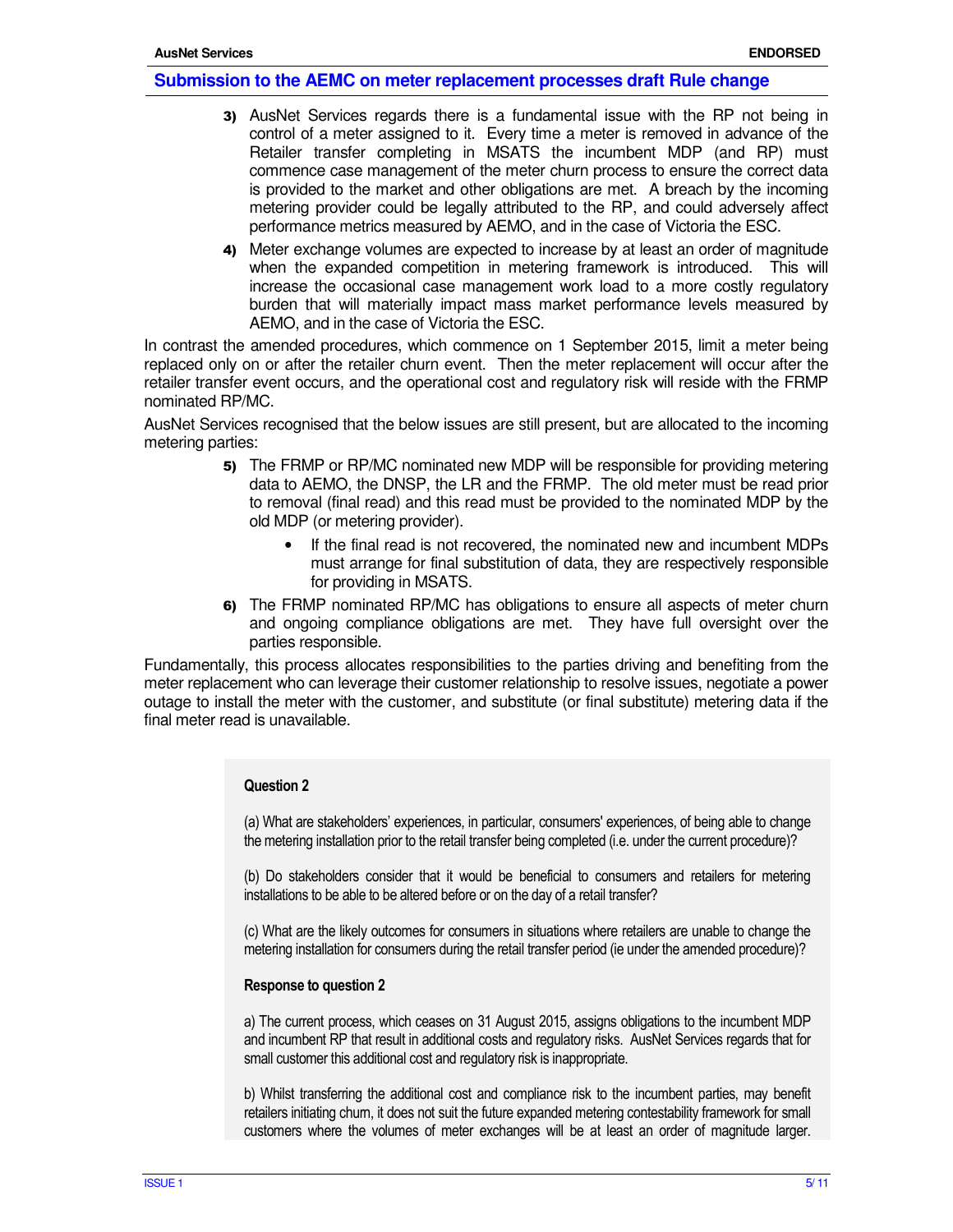- 3) AusNet Services regards there is a fundamental issue with the RP not being in control of a meter assigned to it. Every time a meter is removed in advance of the Retailer transfer completing in MSATS the incumbent MDP (and RP) must commence case management of the meter churn process to ensure the correct data is provided to the market and other obligations are met. A breach by the incoming metering provider could be legally attributed to the RP, and could adversely affect performance metrics measured by AEMO, and in the case of Victoria the ESC.
- 4) Meter exchange volumes are expected to increase by at least an order of magnitude when the expanded competition in metering framework is introduced. This will increase the occasional case management work load to a more costly regulatory burden that will materially impact mass market performance levels measured by AEMO, and in the case of Victoria the ESC.

In contrast the amended procedures, which commence on 1 September 2015, limit a meter being replaced only on or after the retailer churn event. Then the meter replacement will occur after the retailer transfer event occurs, and the operational cost and regulatory risk will reside with the FRMP nominated RP/MC.

AusNet Services recognised that the below issues are still present, but are allocated to the incoming metering parties:

- 5) The FRMP or RP/MC nominated new MDP will be responsible for providing metering data to AEMO, the DNSP, the LR and the FRMP. The old meter must be read prior to removal (final read) and this read must be provided to the nominated MDP by the old MDP (or metering provider).
	- If the final read is not recovered, the nominated new and incumbent MDPs must arrange for final substitution of data, they are respectively responsible for providing in MSATS.
- 6) The FRMP nominated RP/MC has obligations to ensure all aspects of meter churn and ongoing compliance obligations are met. They have full oversight over the parties responsible.

Fundamentally, this process allocates responsibilities to the parties driving and benefiting from the meter replacement who can leverage their customer relationship to resolve issues, negotiate a power outage to install the meter with the customer, and substitute (or final substitute) metering data if the final meter read is unavailable.

#### **Question 2**

(a) What are stakeholders' experiences, in particular, consumers' experiences, of being able to change the metering installation prior to the retail transfer being completed (i.e. under the current procedure)?

(b) Do stakeholders consider that it would be beneficial to consumers and retailers for metering installations to be able to be altered before or on the day of a retail transfer?

(c) What are the likely outcomes for consumers in situations where retailers are unable to change the metering installation for consumers during the retail transfer period (ie under the amended procedure)?

#### **Response to question 2**

a) The current process, which ceases on 31 August 2015, assigns obligations to the incumbent MDP and incumbent RP that result in additional costs and regulatory risks. AusNet Services regards that for small customer this additional cost and regulatory risk is inappropriate.

b) Whilst transferring the additional cost and compliance risk to the incumbent parties, may benefit retailers initiating churn, it does not suit the future expanded metering contestability framework for small customers where the volumes of meter exchanges will be at least an order of magnitude larger.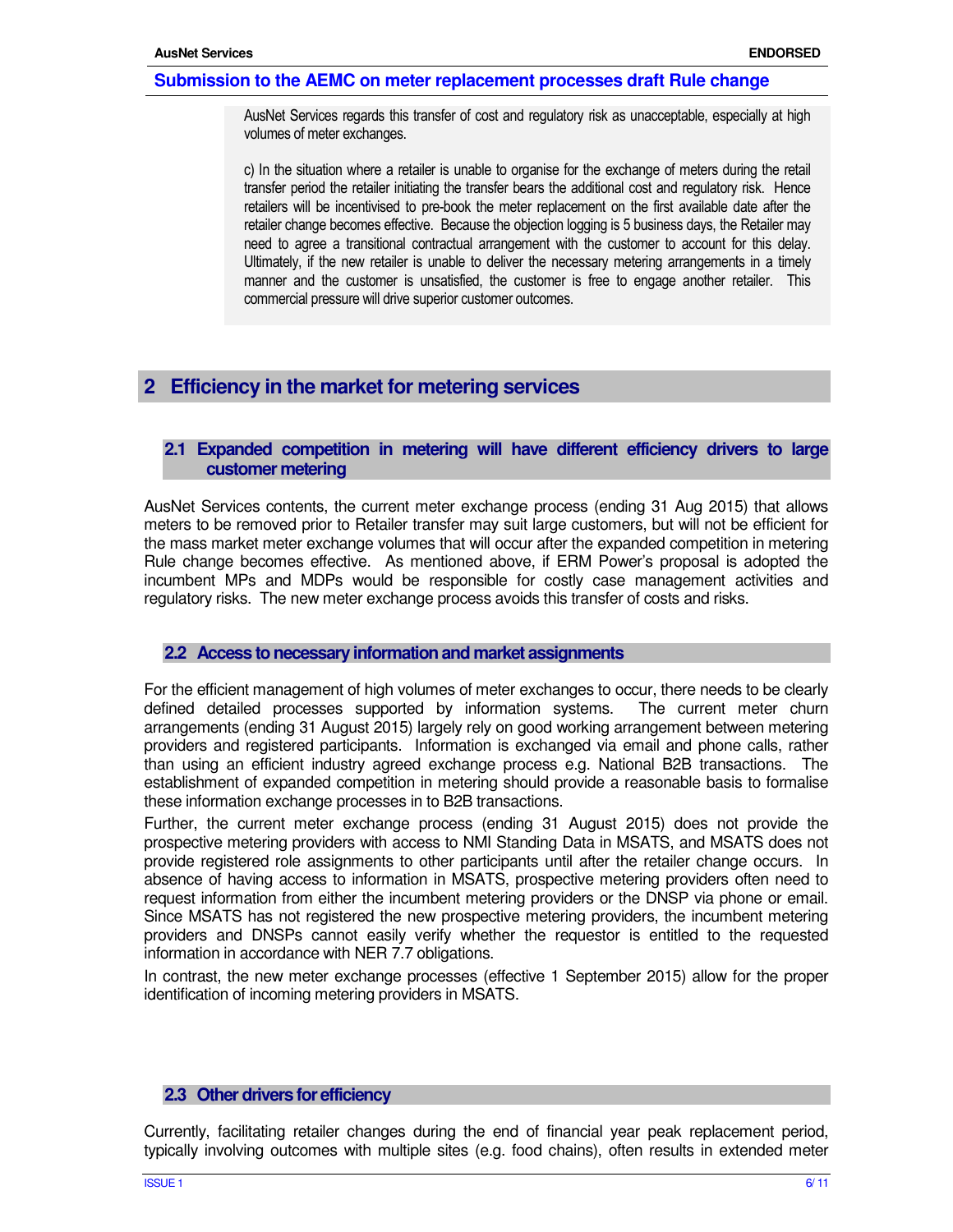AusNet Services regards this transfer of cost and regulatory risk as unacceptable, especially at high volumes of meter exchanges.

c) In the situation where a retailer is unable to organise for the exchange of meters during the retail transfer period the retailer initiating the transfer bears the additional cost and regulatory risk. Hence retailers will be incentivised to pre-book the meter replacement on the first available date after the retailer change becomes effective. Because the objection logging is 5 business days, the Retailer may need to agree a transitional contractual arrangement with the customer to account for this delay. Ultimately, if the new retailer is unable to deliver the necessary metering arrangements in a timely manner and the customer is unsatisfied, the customer is free to engage another retailer. This commercial pressure will drive superior customer outcomes.

## **2 Efficiency in the market for metering services**

## **2.1 Expanded competition in metering will have different efficiency drivers to large customer metering**

AusNet Services contents, the current meter exchange process (ending 31 Aug 2015) that allows meters to be removed prior to Retailer transfer may suit large customers, but will not be efficient for the mass market meter exchange volumes that will occur after the expanded competition in metering Rule change becomes effective. As mentioned above, if ERM Power's proposal is adopted the incumbent MPs and MDPs would be responsible for costly case management activities and regulatory risks. The new meter exchange process avoids this transfer of costs and risks.

#### **2.2 Access to necessary information and market assignments**

For the efficient management of high volumes of meter exchanges to occur, there needs to be clearly defined detailed processes supported by information systems. The current meter churn arrangements (ending 31 August 2015) largely rely on good working arrangement between metering providers and registered participants. Information is exchanged via email and phone calls, rather than using an efficient industry agreed exchange process e.g. National B2B transactions. The establishment of expanded competition in metering should provide a reasonable basis to formalise these information exchange processes in to B2B transactions.

Further, the current meter exchange process (ending 31 August 2015) does not provide the prospective metering providers with access to NMI Standing Data in MSATS, and MSATS does not provide registered role assignments to other participants until after the retailer change occurs. In absence of having access to information in MSATS, prospective metering providers often need to request information from either the incumbent metering providers or the DNSP via phone or email. Since MSATS has not registered the new prospective metering providers, the incumbent metering providers and DNSPs cannot easily verify whether the requestor is entitled to the requested information in accordance with NER 7.7 obligations.

In contrast, the new meter exchange processes (effective 1 September 2015) allow for the proper identification of incoming metering providers in MSATS.

#### **2.3 Other drivers for efficiency**

Currently, facilitating retailer changes during the end of financial year peak replacement period, typically involving outcomes with multiple sites (e.g. food chains), often results in extended meter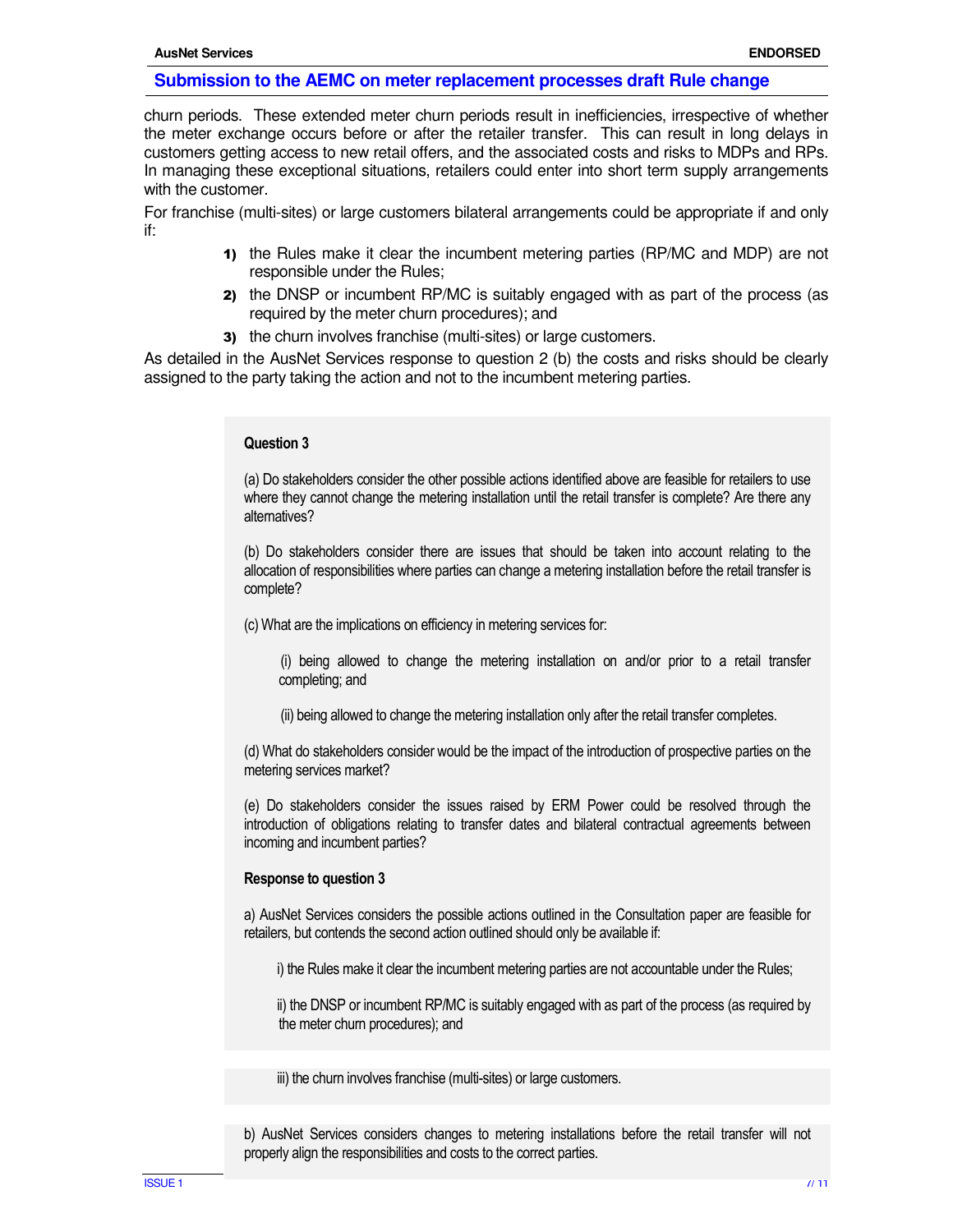churn periods. These extended meter churn periods result in inefficiencies, irrespective of whether the meter exchange occurs before or after the retailer transfer. This can result in long delays in customers getting access to new retail offers, and the associated costs and risks to MDPs and RPs. In managing these exceptional situations, retailers could enter into short term supply arrangements with the customer.

For franchise (multi-sites) or large customers bilateral arrangements could be appropriate if and only if:

- 1) the Rules make it clear the incumbent metering parties (RP/MC and MDP) are not responsible under the Rules;
- 2) the DNSP or incumbent RP/MC is suitably engaged with as part of the process (as required by the meter churn procedures); and
- 3) the churn involves franchise (multi-sites) or large customers.

As detailed in the AusNet Services response to question 2 (b) the costs and risks should be clearly assigned to the party taking the action and not to the incumbent metering parties.

#### **Question 3**

(a) Do stakeholders consider the other possible actions identified above are feasible for retailers to use where they cannot change the metering installation until the retail transfer is complete? Are there any alternatives?

(b) Do stakeholders consider there are issues that should be taken into account relating to the allocation of responsibilities where parties can change a metering installation before the retail transfer is complete?

(c) What are the implications on efficiency in metering services for:

 (i) being allowed to change the metering installation on and/or prior to a retail transfer completing; and

(ii) being allowed to change the metering installation only after the retail transfer completes.

(d) What do stakeholders consider would be the impact of the introduction of prospective parties on the metering services market?

(e) Do stakeholders consider the issues raised by ERM Power could be resolved through the introduction of obligations relating to transfer dates and bilateral contractual agreements between incoming and incumbent parties?

#### **Response to question 3**

a) AusNet Services considers the possible actions outlined in the Consultation paper are feasible for retailers, but contends the second action outlined should only be available if:

i) the Rules make it clear the incumbent metering parties are not accountable under the Rules;

 ii) the DNSP or incumbent RP/MC is suitably engaged with as part of the process (as required by the meter churn procedures); and

iii) the churn involves franchise (multi-sites) or large customers.

b) AusNet Services considers changes to metering installations before the retail transfer will not properly align the responsibilities and costs to the correct parties.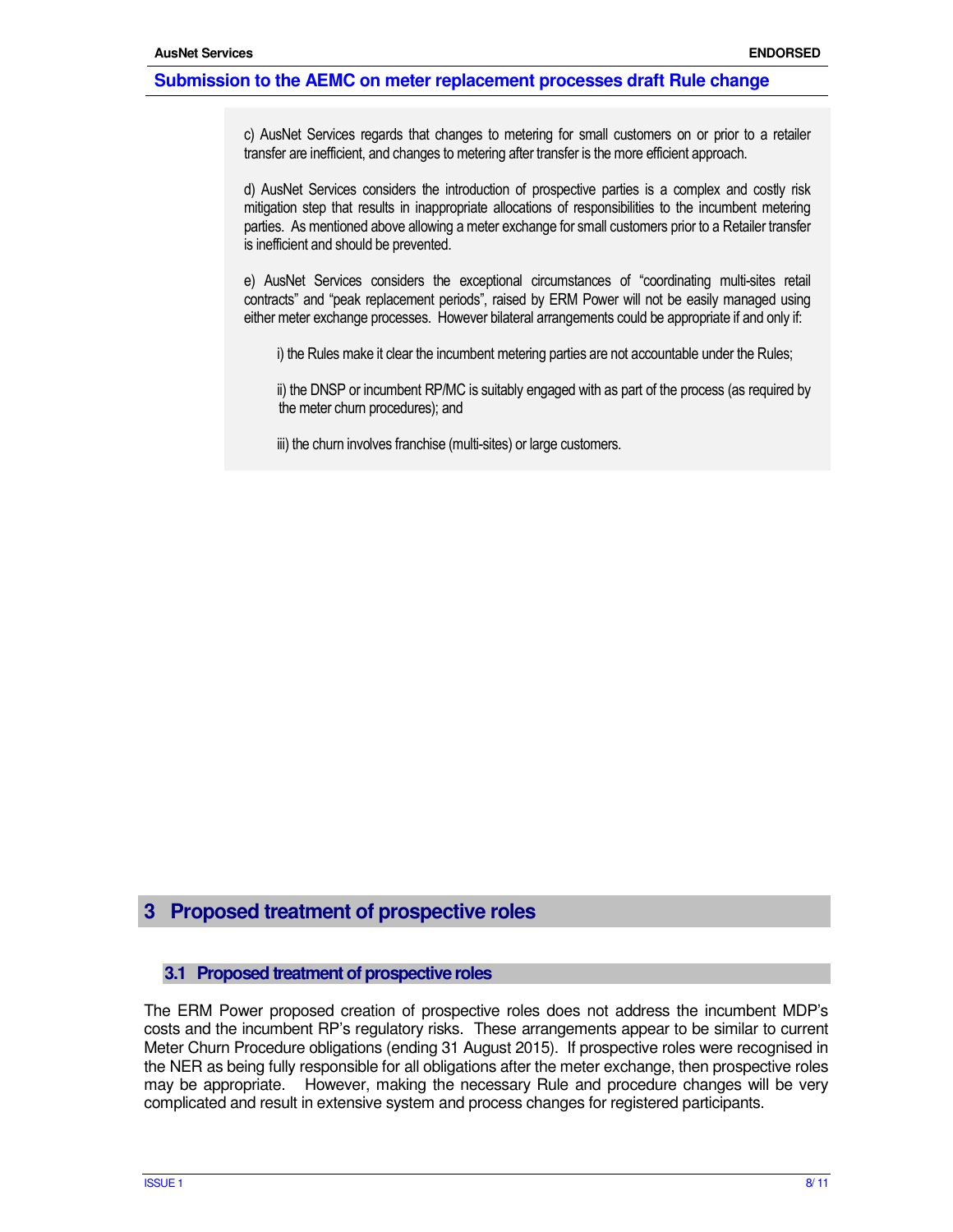c) AusNet Services regards that changes to metering for small customers on or prior to a retailer transfer are inefficient, and changes to metering after transfer is the more efficient approach.

d) AusNet Services considers the introduction of prospective parties is a complex and costly risk mitigation step that results in inappropriate allocations of responsibilities to the incumbent metering parties. As mentioned above allowing a meter exchange for small customers prior to a Retailer transfer is inefficient and should be prevented.

e) AusNet Services considers the exceptional circumstances of "coordinating multi-sites retail contracts" and "peak replacement periods", raised by ERM Power will not be easily managed using either meter exchange processes. However bilateral arrangements could be appropriate if and only if:

i) the Rules make it clear the incumbent metering parties are not accountable under the Rules;

 ii) the DNSP or incumbent RP/MC is suitably engaged with as part of the process (as required by the meter churn procedures); and

iii) the churn involves franchise (multi-sites) or large customers.

## **3 Proposed treatment of prospective roles**

#### **3.1 Proposed treatment of prospective roles**

The ERM Power proposed creation of prospective roles does not address the incumbent MDP's costs and the incumbent RP's regulatory risks. These arrangements appear to be similar to current Meter Churn Procedure obligations (ending 31 August 2015). If prospective roles were recognised in the NER as being fully responsible for all obligations after the meter exchange, then prospective roles may be appropriate. However, making the necessary Rule and procedure changes will be very complicated and result in extensive system and process changes for registered participants.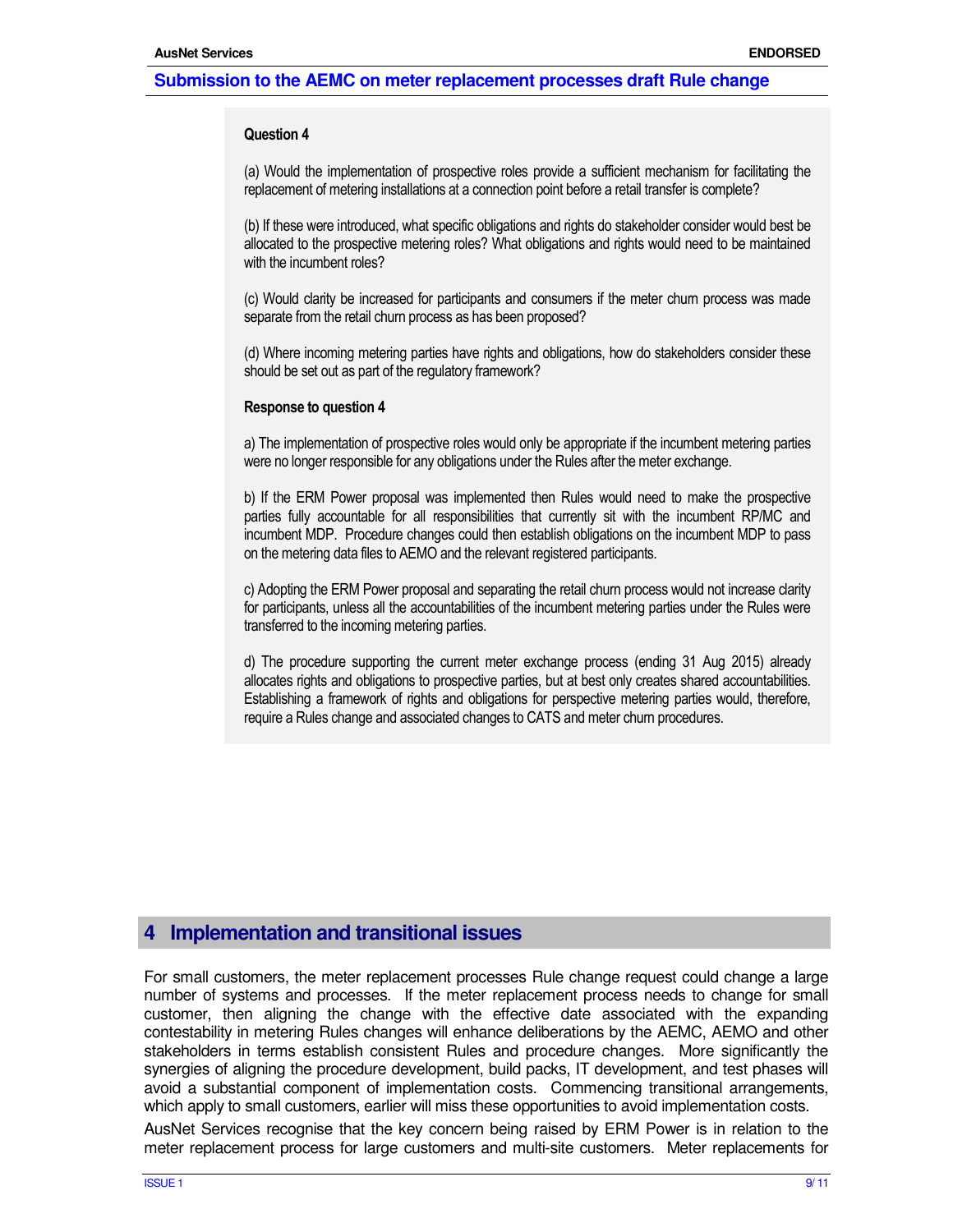#### **Question 4**

(a) Would the implementation of prospective roles provide a sufficient mechanism for facilitating the replacement of metering installations at a connection point before a retail transfer is complete?

(b) If these were introduced, what specific obligations and rights do stakeholder consider would best be allocated to the prospective metering roles? What obligations and rights would need to be maintained with the incumbent roles?

(c) Would clarity be increased for participants and consumers if the meter churn process was made separate from the retail churn process as has been proposed?

(d) Where incoming metering parties have rights and obligations, how do stakeholders consider these should be set out as part of the regulatory framework?

#### **Response to question 4**

a) The implementation of prospective roles would only be appropriate if the incumbent metering parties were no longer responsible for any obligations under the Rules after the meter exchange.

b) If the ERM Power proposal was implemented then Rules would need to make the prospective parties fully accountable for all responsibilities that currently sit with the incumbent RP/MC and incumbent MDP. Procedure changes could then establish obligations on the incumbent MDP to pass on the metering data files to AEMO and the relevant registered participants.

c) Adopting the ERM Power proposal and separating the retail churn process would not increase clarity for participants, unless all the accountabilities of the incumbent metering parties under the Rules were transferred to the incoming metering parties.

d) The procedure supporting the current meter exchange process (ending 31 Aug 2015) already allocates rights and obligations to prospective parties, but at best only creates shared accountabilities. Establishing a framework of rights and obligations for perspective metering parties would, therefore, require a Rules change and associated changes to CATS and meter churn procedures.

## **4 Implementation and transitional issues**

For small customers, the meter replacement processes Rule change request could change a large number of systems and processes. If the meter replacement process needs to change for small customer, then aligning the change with the effective date associated with the expanding contestability in metering Rules changes will enhance deliberations by the AEMC, AEMO and other stakeholders in terms establish consistent Rules and procedure changes. More significantly the synergies of aligning the procedure development, build packs, IT development, and test phases will avoid a substantial component of implementation costs. Commencing transitional arrangements, which apply to small customers, earlier will miss these opportunities to avoid implementation costs.

AusNet Services recognise that the key concern being raised by ERM Power is in relation to the meter replacement process for large customers and multi-site customers. Meter replacements for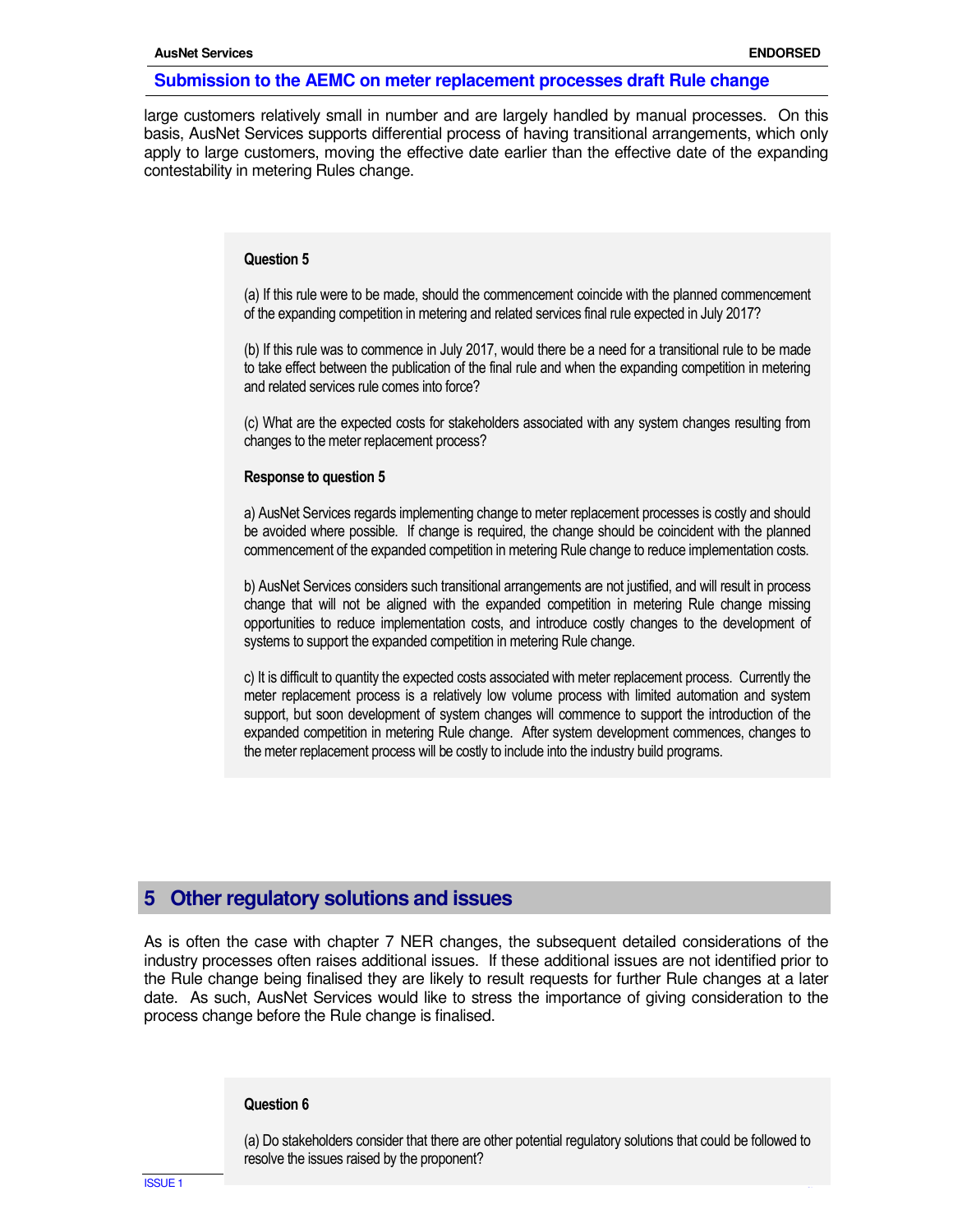large customers relatively small in number and are largely handled by manual processes. On this basis, AusNet Services supports differential process of having transitional arrangements, which only apply to large customers, moving the effective date earlier than the effective date of the expanding contestability in metering Rules change.

#### **Question 5**

(a) If this rule were to be made, should the commencement coincide with the planned commencement of the expanding competition in metering and related services final rule expected in July 2017?

(b) If this rule was to commence in July 2017, would there be a need for a transitional rule to be made to take effect between the publication of the final rule and when the expanding competition in metering and related services rule comes into force?

(c) What are the expected costs for stakeholders associated with any system changes resulting from changes to the meter replacement process?

#### **Response to question 5**

a) AusNet Services regards implementing change to meter replacement processes is costly and should be avoided where possible. If change is required, the change should be coincident with the planned commencement of the expanded competition in metering Rule change to reduce implementation costs.

b) AusNet Services considers such transitional arrangements are not justified, and will result in process change that will not be aligned with the expanded competition in metering Rule change missing opportunities to reduce implementation costs, and introduce costly changes to the development of systems to support the expanded competition in metering Rule change.

c) It is difficult to quantity the expected costs associated with meter replacement process. Currently the meter replacement process is a relatively low volume process with limited automation and system support, but soon development of system changes will commence to support the introduction of the expanded competition in metering Rule change. After system development commences, changes to the meter replacement process will be costly to include into the industry build programs.

## **5 Other regulatory solutions and issues**

As is often the case with chapter 7 NER changes, the subsequent detailed considerations of the industry processes often raises additional issues. If these additional issues are not identified prior to the Rule change being finalised they are likely to result requests for further Rule changes at a later date. As such, AusNet Services would like to stress the importance of giving consideration to the process change before the Rule change is finalised.

#### **Question 6**

(a) Do stakeholders consider that there are other potential regulatory solutions that could be followed to resolve the issues raised by the proponent?